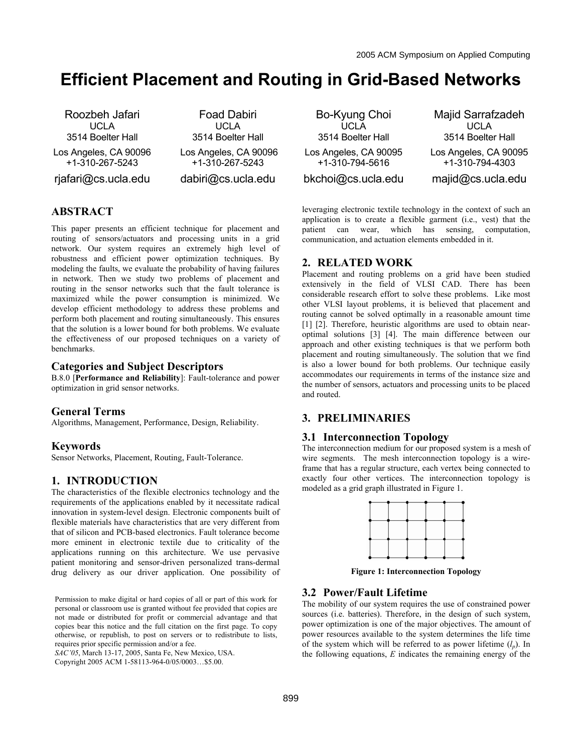# **Efficient Placement and Routing in Grid-Based Networks**

Roozbeh Jafari UCLA 3514 Boelter Hall Los Angeles, CA 90096 +1-310-267-5243 rjafari@cs.ucla.edu

Foad Dabiri UCLA 3514 Boelter Hall Los Angeles, CA 90096 +1-310-267-5243 dabiri@cs.ucla.edu

# **ABSTRACT**

This paper presents an efficient technique for placement and routing of sensors/actuators and processing units in a grid network. Our system requires an extremely high level of robustness and efficient power optimization techniques. By modeling the faults, we evaluate the probability of having failures in network. Then we study two problems of placement and routing in the sensor networks such that the fault tolerance is maximized while the power consumption is minimized. We develop efficient methodology to address these problems and perform both placement and routing simultaneously. This ensures that the solution is a lower bound for both problems. We evaluate the effectiveness of our proposed techniques on a variety of benchmarks.

## **Categories and Subject Descriptors**

B.8.0 [**Performance and Reliability**]: Fault-tolerance and power optimization in grid sensor networks.

#### **General Terms**

Algorithms, Management, Performance, Design, Reliability.

### **Keywords**

Sensor Networks, Placement, Routing, Fault-Tolerance.

## **1. INTRODUCTION**

The characteristics of the flexible electronics technology and the requirements of the applications enabled by it necessitate radical innovation in system-level design. Electronic components built of flexible materials have characteristics that are very different from that of silicon and PCB-based electronics. Fault tolerance become more eminent in electronic textile due to criticality of the applications running on this architecture. We use pervasive patient monitoring and sensor-driven personalized trans-dermal drug delivery as our driver application. One possibility of

Permission to make digital or hard copies of all or part of this work for personal or classroom use is granted without fee provided that copies are not made or distributed for profit or commercial advantage and that copies bear this notice and the full citation on the first page. To copy otherwise, or republish, to post on servers or to redistribute to lists, requires prior specific permission and/or a fee.

*SAC'05*, March 13-17, 2005, Santa Fe, New Mexico, USA.

Copyright 2005 ACM 1-58113-964-0/05/0003…\$5.00.

Bo-Kyung Choi UCLA 3514 Boelter Hall Los Angeles, CA 90095 +1-310-794-5616 bkchoi@cs.ucla.edu

Majid Sarrafzadeh UCLA 3514 Boelter Hall Los Angeles, CA 90095 +1-310-794-4303 majid@cs.ucla.edu

leveraging electronic textile technology in the context of such an application is to create a flexible garment (i.e., vest) that the patient can wear, which has sensing, computation, communication, and actuation elements embedded in it.

## **2. RELATED WORK**

Placement and routing problems on a grid have been studied extensively in the field of VLSI CAD. There has been considerable research effort to solve these problems. Like most other VLSI layout problems, it is believed that placement and routing cannot be solved optimally in a reasonable amount time [1] [2]. Therefore, heuristic algorithms are used to obtain nearoptimal solutions [3] [4]. The main difference between our approach and other existing techniques is that we perform both placement and routing simultaneously. The solution that we find is also a lower bound for both problems. Our technique easily accommodates our requirements in terms of the instance size and the number of sensors, actuators and processing units to be placed and routed.

## **3. PRELIMINARIES**

#### **3.1 Interconnection Topology**

The interconnection medium for our proposed system is a mesh of wire segments. The mesh interconnection topology is a wireframe that has a regular structure, each vertex being connected to exactly four other vertices. The interconnection topology is modeled as a grid graph illustrated in Figure 1.



**Figure 1: Interconnection Topology** 

## **3.2 Power/Fault Lifetime**

The mobility of our system requires the use of constrained power sources (i.e. batteries). Therefore, in the design of such system, power optimization is one of the major objectives. The amount of power resources available to the system determines the life time of the system which will be referred to as power lifetime  $(l_n)$ . In the following equations, *E* indicates the remaining energy of the